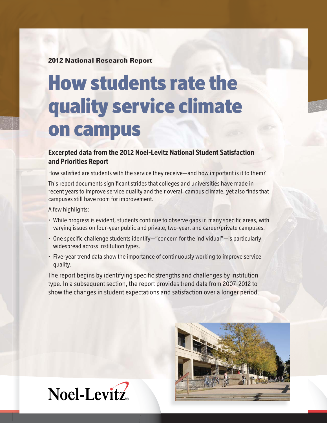**2012 National Research Report**

# **How students rate the quality service climate on campus**

## **Excerpted data from the 2012 Noel-Levitz National Student Satisfaction and Priorities Report**

How satisfied are students with the service they receive—and how important is it to them?

This report documents significant strides that colleges and universities have made in recent years to improve service quality and their overall campus climate, yet also finds that campuses still have room for improvement.

A few highlights:

- While progress is evident, students continue to observe gaps in many specific areas, with varying issues on four-year public and private, two-year, and career/private campuses.
- $\cdot$  One specific challenge students identify—"concern for the individual"—is particularly widespread across institution types.
- Five-year trend data show the importance of continuously working to improve service quality.

The report begins by identifying specific strengths and challenges by institution type. In a subsequent section, the report provides trend data from 2007-2012 to show the changes in student expectations and satisfaction over a longer period.



Noel-Levitz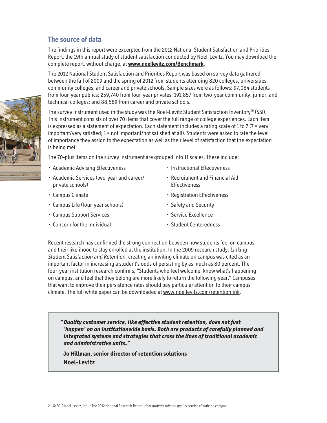## **The source of data**

The findings in this report were excerpted from the 2012 National Student Satisfaction and Priorities Report, the 19th annual study of student satisfaction conducted by Noel-Levitz. You may download the complete report, without charge, at **www.noellevitz.com/Benchmark**.

The 2012 National Student Satisfaction and Priorities Report was based on survey data gathered between the fall of 2009 and the spring of 2012 from students attending 820 colleges, universities, community colleges, and career and private schools. Sample sizes were as follows: 97,084 students from four-year publics; 259,740 from four-year privates; 191,857 from two-year community, junior, and technical colleges; and 88,589 from career and private schools.

The survey instrument used in the study was the Noel-Levitz Student Satisfaction Inventory $M(SSI)$ . This instrument consists of over 70 items that cover the full range of college experiences. Each item is expressed as a statement of expectation. Each statement includes a rating scale of 1 to 7 (7 = very important/very satisfied; 1 = not important/not satisfied at all). Students were asked to rate the level of importance they assign to the expectation as well as their level of satisfaction that the expectation is being met.

The 70-plus items on the survey instrument are grouped into 11 scales. These include:

- Academic Advising Effectiveness
- Academic Services (two-year and career/ private schools)
- Campus Climate
- Campus Life (four-year schools)
- Campus Support Services
- Concern for the Individual
- Instructional Effectiveness
- Recruitment and Financial Aid **Effectiveness**
- Registration Effectiveness
- Safety and Security
- Service Excellence
- Student Centeredness

Recent research has confirmed the strong connection between how students feel on campus and their likelihood to stay enrolled at the institution. In the 2009 research study, Linking Student Satisfaction and Retention, creating an inviting climate on campus was cited as an important factor in increasing a student's odds of persisting by as much as 80 percent. The four-year institution research confirms, "Students who feel welcome, know what's happening on campus, and feel that they belong are more likely to return the following year." Campuses that want to improve their persistence rates should pay particular attention to their campus climate. The full white paper can be downloaded at www.noellevitz.com/retentionlink.

*" Quality customer service, like effective student retention, does not just 'happen' on an institutionwide basis. Both are products of carefully planned and integrated systems and strategies that cross the lines of traditional academic and administrative units."*

 **Jo Hillman, senior director of retention solutions Noel-Levitz**

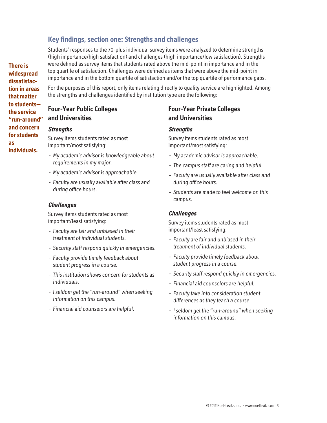## **Key findings, section one: Strengths and challenges**

Students' responses to the 70-plus individual survey items were analyzed to determine strengths (high importance/high satisfaction) and challenges (high importance/low satisfaction). Strengths were defined as survey items that students rated above the mid-point in importance and in the top quartile of satisfaction. Challenges were defined as items that were above the mid-point in importance and in the bottom quartile of satisfaction and/or the top quartile of performance gaps.

For the purposes of this report, only items relating directly to quality service are highlighted. Among the strengths and challenges identified by institution type are the following:

## **Four-Year Public Colleges and Universities**

#### *Strengths*

Survey items students rated as most important/most satisfying:

- My academic advisor is knowledgeable about requirements in my major.
- My academic advisor is approachable.
- Faculty are usually available after class and during office hours.

#### *Challenges*

Survey items students rated as most important/least satisfying:

- Faculty are fair and unbiased in their treatment of individual students.
- Security staff respond quickly in emergencies.
- Faculty provide timely feedback about student progress in a course.
- This institution shows concern for students as individuals.
- I seldom get the "run-around" when seeking information on this campus.
- Financial aid counselors are helpful.

## **Four-Year Private Colleges and Universities**

#### *Strengths*

Survey items students rated as most important/most satisfying:

- My academic advisor is approachable.
- The campus staff are caring and helpful.
- Faculty are usually available after class and during office hours.
- Students are made to feel welcome on this campus.

#### *Challenges*

Survey items students rated as most important/least satisfying:

- Faculty are fair and unbiased in their treatment of individual students.
- Faculty provide timely feedback about student progress in a course.
- Security staff respond quickly in emergencies.
- Financial aid counselors are helpful.
- Faculty take into consideration student differences as they teach a course.
- I seldom get the "run-around" when seeking information on this campus.

**There is widespread dissatisfaction in areas that matter to students the service "run-around" and concern for students as individuals.**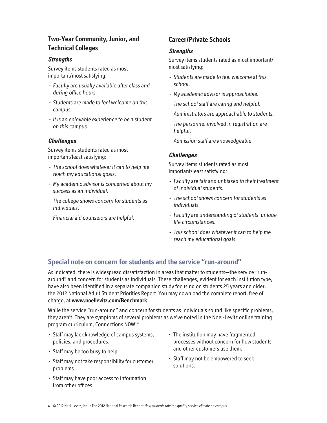## **Two-Year Community, Junior, and Technical Colleges**

#### *Strengths*

Survey items students rated as most important/most satisfying:

- Faculty are usually available after class and during office hours.
- Students are made to feel welcome on this campus.
- It is an enjoyable experience to be a student on this campus.

#### *Challenges*

Survey items students rated as most important/least satisfying:

- The school does whatever it can to help me reach my educational goals.
- My academic advisor is concerned about my success as an individual.
- The college shows concern for students as individuals.
- Financial aid counselors are helpful.

## **Career/Private Schools**

#### *Strengths*

Survey items students rated as most important/ most satisfying:

- Students are made to feel welcome at this school.
- My academic advisor is approachable.
- The school staff are caring and helpful.
- Administrators are approachable to students.
- The personnel involved in registration are helpful.
- Admission staff are knowledgeable.

#### *Challenges*

Survey items students rated as most important/least satisfying:

- Faculty are fair and unbiased in their treatment of individual students.
- The school shows concern for students as individuals.
- Faculty are understanding of students' unique life circumstances.
- This school does whatever it can to help me reach my educational goals.

## **Special note on concern for students and the service "run-around"**

As indicated, there is widespread dissatisfaction in areas that matter to students—the service "runaround" and concern for students as individuals. These challenges, evident for each institution type, have also been identified in a separate companion study focusing on students 25 years and older, the 2012 National Adult Student Priorities Report. You may download the complete report, free of charge, at **www.noellevitz.com/Benchmark**.

While the service "run-around" and concern for students as individuals sound like specific problems, they aren't. They are symptoms of several problems as we've noted in the Noel-Levitz online training program curriculum, Connections NOW™.

- Staff may lack knowledge of campus systems, policies, and procedures.
- Staff may be too busy to help.
- Staff may not take responsibility for customer problems.
- Staff may have poor access to information from other offices.
- The institution may have fragmented processes without concern for how students and other customers use them.
- Staff may not be empowered to seek solutions.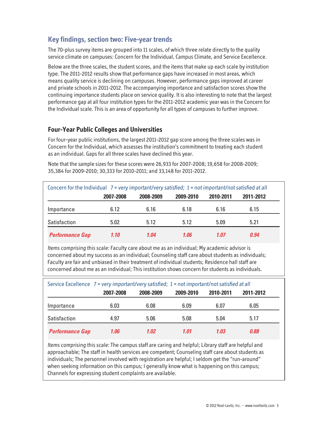# **Key findings, section two: Five-year trends**

The 70-plus survey items are grouped into 11 scales, of which three relate directly to the quality service climate on campuses: Concern for the Individual, Campus Climate, and Service Excellence.

Below are the three scales, the student scores, and the items that make up each scale by institution type. The 2011-2012 results show that performance gaps have increased in most areas, which means quality service is declining on campuses. However, performance gaps improved at career and private schools in 2011-2012. The accompanying importance and satisfaction scores show the continuing importance students place on service quality. It is also interesting to note that the largest performance gap at all four institution types for the 2011-2012 academic year was in the Concern for the Individual scale. This is an area of opportunity for all types of campuses to further improve.

## **Four-Year Public Colleges and Universities**

For four-year public institutions, the largest 2011-2012 gap score among the three scales was in Concern for the Individual, which assesses the institution's commitment to treating each student as an individual. Gaps for all three scales have declined this year.

Note that the sample sizes for these scores were 26,933 for 2007-2008; 19,658 for 2008-2009; 35,384 for 2009-2010; 30,333 for 2010-2011; and 33,148 for 2011-2012.

| Concern for the Individual $7 = \text{very important/very satisfied}$ ; 1 = not important/not satisfied at all |           |           |           |           |           |  |  |
|----------------------------------------------------------------------------------------------------------------|-----------|-----------|-----------|-----------|-----------|--|--|
|                                                                                                                | 2007-2008 | 2008-2009 | 2009-2010 | 2010-2011 | 2011-2012 |  |  |
| Importance                                                                                                     | 6.12      | 6.16      | 6.18      | 6.16      | 6.15      |  |  |
| Satisfaction                                                                                                   | 5.02      | 5.12      | 5.12      | 5.09      | 5.21      |  |  |
| <b>Performance Gap</b>                                                                                         | 1.10      | 1.04      | 1.06      | 1.07      | 0.94      |  |  |

Items comprising this scale: Faculty care about me as an individual; My academic advisor is concerned about my success as an individual; Counseling staff care about students as individuals; Faculty are fair and unbiased in their treatment of individual students; Residence hall staff are concerned about me as an individual; This institution shows concern for students as individuals.

|                        | Service Excellence 7 = very important/very satisfied; 1 = not important/not satisfied at all |           |           |           |           |  |  |
|------------------------|----------------------------------------------------------------------------------------------|-----------|-----------|-----------|-----------|--|--|
|                        | 2007-2008                                                                                    | 2008-2009 | 2009-2010 | 2010-2011 | 2011-2012 |  |  |
| Importance             | 6.03                                                                                         | 6.08      | 6.09      | 6.07      | 6.05      |  |  |
| Satisfaction           | 4.97                                                                                         | 5.06      | 5.08      | 5.04      | 5.17      |  |  |
| <b>Performance Gap</b> | 1.06                                                                                         | 1.02      | 1.01      | 1.03      | 0.88      |  |  |

Items comprising this scale: The campus staff are caring and helpful; Library staff are helpful and approachable; The staff in health services are competent; Counseling staff care about students as individuals; The personnel involved with registration are helpful; I seldom get the "run-around" when seeking information on this campus; I generally know what is happening on this campus; Channels for expressing student complaints are available.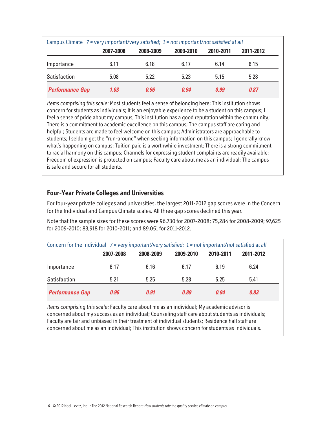|                        | Campus Climate $7$ = very important/very satisfied; $1$ = not important/not satisfied at all |           |             |             |           |  |
|------------------------|----------------------------------------------------------------------------------------------|-----------|-------------|-------------|-----------|--|
|                        | 2007-2008                                                                                    | 2008-2009 | 2009-2010   | 2010-2011   | 2011-2012 |  |
| Importance             | 6.11                                                                                         | 6.18      | 6.17        | 6.14        | 6.15      |  |
| Satisfaction           | 5.08                                                                                         | 5.22      | 5.23        | 5.15        | 5.28      |  |
| <b>Performance Gap</b> | 1.03                                                                                         | 0.96      | <u>n 94</u> | <u>n 99</u> | 0.87      |  |

Items comprising this scale: Most students feel a sense of belonging here; This institution shows concern for students as individuals; It is an enjoyable experience to be a student on this campus; I feel a sense of pride about my campus; This institution has a good reputation within the community; There is a commitment to academic excellence on this campus; The campus staff are caring and helpful; Students are made to feel welcome on this campus; Administrators are approachable to students; I seldom get the "run-around" when seeking information on this campus; I generally know what's happening on campus; Tuition paid is a worthwhile investment; There is a strong commitment to racial harmony on this campus; Channels for expressing student complaints are readily available; Freedom of expression is protected on campus; Faculty care about me as an individual; The campus is safe and secure for all students.

### **Four-Year Private Colleges and Universities**

For four-year private colleges and universities, the largest 2011-2012 gap scores were in the Concern for the Individual and Campus Climate scales. All three gap scores declined this year.

Note that the sample sizes for these scores were 96,730 for 2007-2008; 75,284 for 2008-2009; 97,625 for 2009-2010; 83,918 for 2010-2011; and 89,051 for 2011-2012.

| Concern for the Individual $7 = \text{very important/very satisfied}$ ; 1 = not important/not satisfied at all |           |           |           |           |           |  |
|----------------------------------------------------------------------------------------------------------------|-----------|-----------|-----------|-----------|-----------|--|
|                                                                                                                | 2007-2008 | 2008-2009 | 2009-2010 | 2010-2011 | 2011-2012 |  |
| Importance                                                                                                     | 6.17      | 6.16      | 6.17      | 6.19      | 6.24      |  |
| Satisfaction                                                                                                   | 5.21      | 5.25      | 5.28      | 5.25      | 5.41      |  |
| <b>Performance Gap</b>                                                                                         | 0.96      | 0.91      | 0.89      | 0.94      | 0.83      |  |

Items comprising this scale: Faculty care about me as an individual; My academic advisor is concerned about my success as an individual; Counseling staff care about students as individuals; Faculty are fair and unbiased in their treatment of individual students; Residence hall staff are concerned about me as an individual; This institution shows concern for students as individuals.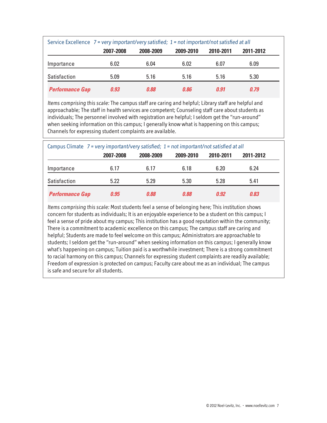|                        | Service Excellence 7 = very important/very satisfied; 1 = not important/not satisfied at all |           |           |           |           |  |
|------------------------|----------------------------------------------------------------------------------------------|-----------|-----------|-----------|-----------|--|
|                        | 2007-2008                                                                                    | 2008-2009 | 2009-2010 | 2010-2011 | 2011-2012 |  |
| Importance             | 6.02                                                                                         | 6.04      | 6.02      | 6.07      | 6.09      |  |
| Satisfaction           | 5.09                                                                                         | 5.16      | 5.16      | 5.16      | 5.30      |  |
| <b>Performance Gap</b> | 0.93                                                                                         | 0.88      | 0.86      | 0.91      | 0.79      |  |

Items comprising this scale: The campus staff are caring and helpful; Library staff are helpful and approachable; The staff in health services are competent; Counseling staff care about students as individuals; The personnel involved with registration are helpful; I seldom get the "run-around" when seeking information on this campus; I generally know what is happening on this campus; Channels for expressing student complaints are available.

|                        | Campus Climate $7$ = very important/very satisfied; $1$ = not important/not satisfied at all |           |           |           |           |  |
|------------------------|----------------------------------------------------------------------------------------------|-----------|-----------|-----------|-----------|--|
|                        | 2007-2008                                                                                    | 2008-2009 | 2009-2010 | 2010-2011 | 2011-2012 |  |
| Importance             | 6.17                                                                                         | 6.17      | 6.18      | 6.20      | 6.24      |  |
| Satisfaction           | 5.22                                                                                         | 5.29      | 5.30      | 5.28      | 5.41      |  |
| <b>Performance Gap</b> | 0.95                                                                                         | 0.88      | 0.88      | 0.92      | 0.83      |  |

Items comprising this scale: Most students feel a sense of belonging here; This institution shows concern for students as individuals; It is an enjoyable experience to be a student on this campus; I feel a sense of pride about my campus; This institution has a good reputation within the community; There is a commitment to academic excellence on this campus; The campus staff are caring and helpful; Students are made to feel welcome on this campus; Administrators are approachable to students; I seldom get the "run-around" when seeking information on this campus; I generally know what's happening on campus; Tuition paid is a worthwhile investment; There is a strong commitment to racial harmony on this campus; Channels for expressing student complaints are readily available; Freedom of expression is protected on campus; Faculty care about me as an individual; The campus is safe and secure for all students.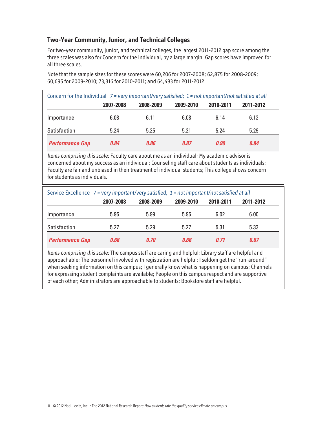## **Two-Year Community, Junior, and Technical Colleges**

For two-year community, junior, and technical colleges, the largest 2011-2012 gap score among the three scales was also for Concern for the Individual, by a large margin. Gap scores have improved for all three scales.

Note that the sample sizes for these scores were 60,206 for 2007-2008; 62,875 for 2008-2009; 60,695 for 2009-2010; 73,316 for 2010-2011; and 64,493 for 2011-2012.

| Concern for the Individual $7 = \text{very important/very satisfied}$ ; 1 = not important/not satisfied at all |           |           |           |           |           |  |
|----------------------------------------------------------------------------------------------------------------|-----------|-----------|-----------|-----------|-----------|--|
|                                                                                                                | 2007-2008 | 2008-2009 | 2009-2010 | 2010-2011 | 2011-2012 |  |
| Importance                                                                                                     | 6.08      | 6.11      | 6.08      | 6.14      | 6.13      |  |
| Satisfaction                                                                                                   | 5.24      | 5.25      | 5.21      | 5.24      | 5.29      |  |
| <b>Performance Gap</b>                                                                                         | 0.84      | 0.86      | 0.87      | 0.90      | 0.84      |  |

Items comprising this scale: Faculty care about me as an individual; My academic advisor is concerned about my success as an individual; Counseling staff care about students as individuals; Faculty are fair and unbiased in their treatment of individual students; This college shows concern for students as individuals.

|                        | Service Excellence 7 = very important/very satisfied; 1 = not important/not satisfied at all |           |           |           |           |  |  |
|------------------------|----------------------------------------------------------------------------------------------|-----------|-----------|-----------|-----------|--|--|
|                        | 2007-2008                                                                                    | 2008-2009 | 2009-2010 | 2010-2011 | 2011-2012 |  |  |
| Importance             | 5.95                                                                                         | 5.99      | 5.95      | 6.02      | 6.00      |  |  |
| Satisfaction           | 5.27                                                                                         | 5.29      | 5.27      | 5.31      | 5.33      |  |  |
| <b>Performance Gap</b> | 0.68                                                                                         | 0.70      | 0.68      | 0.71      | 0.67      |  |  |

Items comprising this scale: The campus staff are caring and helpful; Library staff are helpful and approachable; The personnel involved with registration are helpful; I seldom get the "run-around" when seeking information on this campus; I generally know what is happening on campus; Channels for expressing student complaints are available; People on this campus respect and are supportive of each other; Administrators are approachable to students; Bookstore staff are helpful.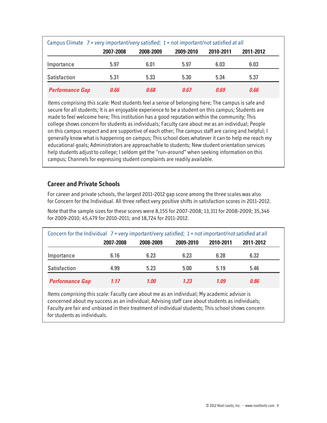|                        | Campus Climate 7 = very important/very satisfied; 1 = not important/not satisfied at all |           |           |           |           |  |
|------------------------|------------------------------------------------------------------------------------------|-----------|-----------|-----------|-----------|--|
|                        | 2007-2008                                                                                | 2008-2009 | 2009-2010 | 2010-2011 | 2011-2012 |  |
| Importance             | 5.97                                                                                     | 6.01      | 5.97      | 6.03      | 6.03      |  |
| Satisfaction           | 5.31                                                                                     | 5.33      | 5.30      | 5.34      | 5.37      |  |
| <b>Performance Gap</b> | 0.66                                                                                     | 0.68      | 0.67      | 0.69      | 0.66      |  |

Items comprising this scale: Most students feel a sense of belonging here; The campus is safe and secure for all students; It is an enjoyable experience to be a student on this campus; Students are made to feel welcome here; This institution has a good reputation within the community; This college shows concern for students as individuals; Faculty care about me as an individual; People on this campus respect and are supportive of each other; The campus staff are caring and helpful; I generally know what is happening on campus; This school does whatever it can to help me reach my educational goals; Administrators are approachable to students; New student orientation services help students adjust to college; I seldom get the "run-around" when seeking information on this campus; Channels for expressing student complaints are readily available.

### **Career and Private Schools**

For career and private schools, the largest 2011-2012 gap score among the three scales was also for Concern for the Individual. All three reflect very positive shifts in satisfaction scores in 2011-2012.

Note that the sample sizes for these scores were 8,155 for 2007-2008; 13,311 for 2008-2009; 35,346 for 2009-2010; 45,479 for 2010-2011; and 18,724 for 2011-2012.

| Concern for the Individual $7 = \text{very important/very satisfied}$ ; 1 = not important/not satisfied at all |           |           |           |           |           |  |  |
|----------------------------------------------------------------------------------------------------------------|-----------|-----------|-----------|-----------|-----------|--|--|
|                                                                                                                | 2007-2008 | 2008-2009 | 2009-2010 | 2010-2011 | 2011-2012 |  |  |
| Importance                                                                                                     | 6.16      | 6.23      | 6.23      | 6.28      | 6.32      |  |  |
| Satisfaction                                                                                                   | 4.99      | 5.23      | 5.00      | 5.19      | 5.46      |  |  |
| <b>Performance Gap</b>                                                                                         | 1.17      | 1.00      | 1.23      | 1.09      | 0.86      |  |  |

Items comprising this scale: Faculty care about me as an individual; My academic advisor is concerned about my success as an individual; Advising staff care about students as individuals; Faculty are fair and unbiased in their treatment of individual students; This school shows concern for students as individuals.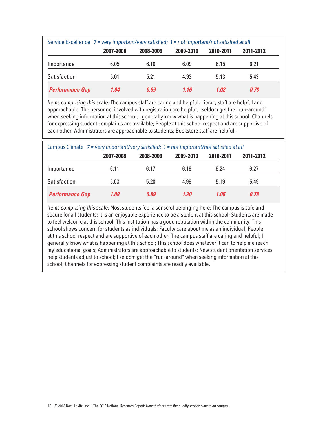|                        | Service Excellence 7 = very important/very satisfied; 1 = not important/not satisfied at all |           |           |           |           |  |
|------------------------|----------------------------------------------------------------------------------------------|-----------|-----------|-----------|-----------|--|
|                        | 2007-2008                                                                                    | 2008-2009 | 2009-2010 | 2010-2011 | 2011-2012 |  |
| Importance             | 6.05                                                                                         | 6.10      | 6.09      | 6.15      | 6.21      |  |
| Satisfaction           | 5.01                                                                                         | 5.21      | 4.93      | 5.13      | 5.43      |  |
| <b>Performance Gap</b> | 1.04                                                                                         | 0.89      | 1.16      | 1.02      | 0.78      |  |

Items comprising this scale: The campus staff are caring and helpful; Library staff are helpful and approachable; The personnel involved with registration are helpful; I seldom get the "run-around" when seeking information at this school; I generally know what is happening at this school; Channels for expressing student complaints are available; People at this school respect and are supportive of each other; Administrators are approachable to students; Bookstore staff are helpful.

|                        | Campus Climate $7$ = very important/very satisfied; $1$ = not important/not satisfied at all |           |           |           |           |  |  |
|------------------------|----------------------------------------------------------------------------------------------|-----------|-----------|-----------|-----------|--|--|
|                        | 2007-2008                                                                                    | 2008-2009 | 2009-2010 | 2010-2011 | 2011-2012 |  |  |
| Importance             | 6.11                                                                                         | 6.17      | 6.19      | 6.24      | 6.27      |  |  |
| Satisfaction           | 5.03                                                                                         | 5.28      | 4.99      | 5.19      | 5.49      |  |  |
| <b>Performance Gap</b> | 1.08                                                                                         | 0.89      | 1.20      | 1.05      | 0.78      |  |  |

Items comprising this scale: Most students feel a sense of belonging here; The campus is safe and secure for all students; It is an enjoyable experience to be a student at this school; Students are made to feel welcome at this school; This institution has a good reputation within the community; This school shows concern for students as individuals; Faculty care about me as an individual; People at this school respect and are supportive of each other; The campus staff are caring and helpful; I generally know what is happening at this school; This school does whatever it can to help me reach my educational goals; Administrators are approachable to students; New student orientation services help students adjust to school; I seldom get the "run-around" when seeking information at this school; Channels for expressing student complaints are readily available.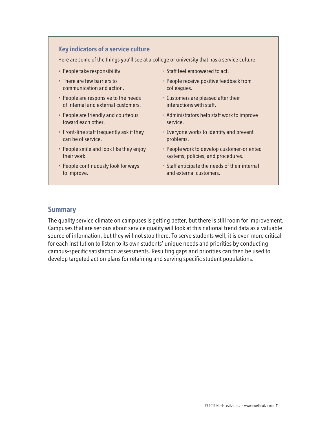## **Key indicators of a service culture**

Here are some of the things you'll see at a college or university that has a service culture:

- People take responsibility.
- There are few barriers to communication and action.
- People are responsive to the needs of internal and external customers.
- People are friendly and courteous toward each other.
- Front-line staff frequently ask if they can be of service.
- People smile and look like they enjoy their work.
- People continuously look for ways to improve.
- Staff feel empowered to act.
- People receive positive feedback from colleagues.
- Customers are pleased after their interactions with staff.
- Administrators help staff work to improve service.
- Everyone works to identify and prevent problems.
- People work to develop customer-oriented systems, policies, and procedures.
- Staff anticipate the needs of their internal and external customers.

#### **Summary**

The quality service climate on campuses is getting better, but there is still room for improvement. Campuses that are serious about service quality will look at this national trend data as a valuable source of information, but they will not stop there. To serve students well, it is even more critical for each institution to listen to its own students' unique needs and priorities by conducting campus-specific satisfaction assessments. Resulting gaps and priorities can then be used to develop targeted action plans for retaining and serving specific student populations.